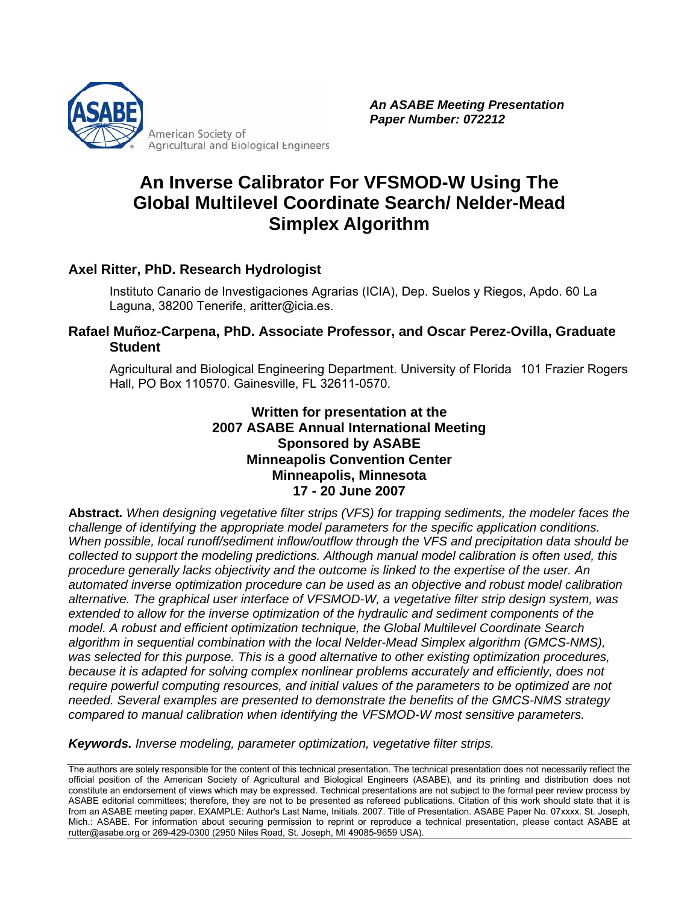

*An ASABE Meeting Presentation Paper Number: 072212*

# **An Inverse Calibrator For VFSMOD-W Using The Global Multilevel Coordinate Search/ Nelder-Mead Simplex Algorithm**

#### **Axel Ritter, PhD. Research Hydrologist**

Instituto Canario de Investigaciones Agrarias (ICIA), Dep. Suelos y Riegos, Apdo. 60 La Laguna, 38200 Tenerife, aritter@icia.es.

#### **Rafael Muñoz-Carpena, PhD. Associate Professor, and Oscar Perez-Ovilla, Graduate Student**

Agricultural and Biological Engineering Department. University of Florida 101 Frazier Rogers Hall, PO Box 110570. Gainesville, FL 32611-0570.

#### **Written for presentation at the 2007 ASABE Annual International Meeting Sponsored by ASABE Minneapolis Convention Center Minneapolis, Minnesota 17 - 20 June 2007**

**Abstract***. When designing vegetative filter strips (VFS) for trapping sediments, the modeler faces the challenge of identifying the appropriate model parameters for the specific application conditions. When possible, local runoff/sediment inflow/outflow through the VFS and precipitation data should be collected to support the modeling predictions. Although manual model calibration is often used, this procedure generally lacks objectivity and the outcome is linked to the expertise of the user. An automated inverse optimization procedure can be used as an objective and robust model calibration alternative. The graphical user interface of VFSMOD-W, a vegetative filter strip design system, was extended to allow for the inverse optimization of the hydraulic and sediment components of the model. A robust and efficient optimization technique, the Global Multilevel Coordinate Search algorithm in sequential combination with the local Nelder-Mead Simplex algorithm (GMCS-NMS), was selected for this purpose. This is a good alternative to other existing optimization procedures, because it is adapted for solving complex nonlinear problems accurately and efficiently, does not require powerful computing resources, and initial values of the parameters to be optimized are not needed. Several examples are presented to demonstrate the benefits of the GMCS-NMS strategy compared to manual calibration when identifying the VFSMOD-W most sensitive parameters.*

*Keywords. Inverse modeling, parameter optimization, vegetative filter strips.* 

The authors are solely responsible for the content of this technical presentation. The technical presentation does not necessarily reflect the official position of the American Society of Agricultural and Biological Engineers (ASABE), and its printing and distribution does not constitute an endorsement of views which may be expressed. Technical presentations are not subject to the formal peer review process by ASABE editorial committees; therefore, they are not to be presented as refereed publications. Citation of this work should state that it is from an ASABE meeting paper. EXAMPLE: Author's Last Name, Initials. 2007. Title of Presentation. ASABE Paper No. 07xxxx. St. Joseph, Mich.: ASABE. For information about securing permission to reprint or reproduce a technical presentation, please contact ASABE at rutter@asabe.org or 269-429-0300 (2950 Niles Road, St. Joseph, MI 49085-9659 USA).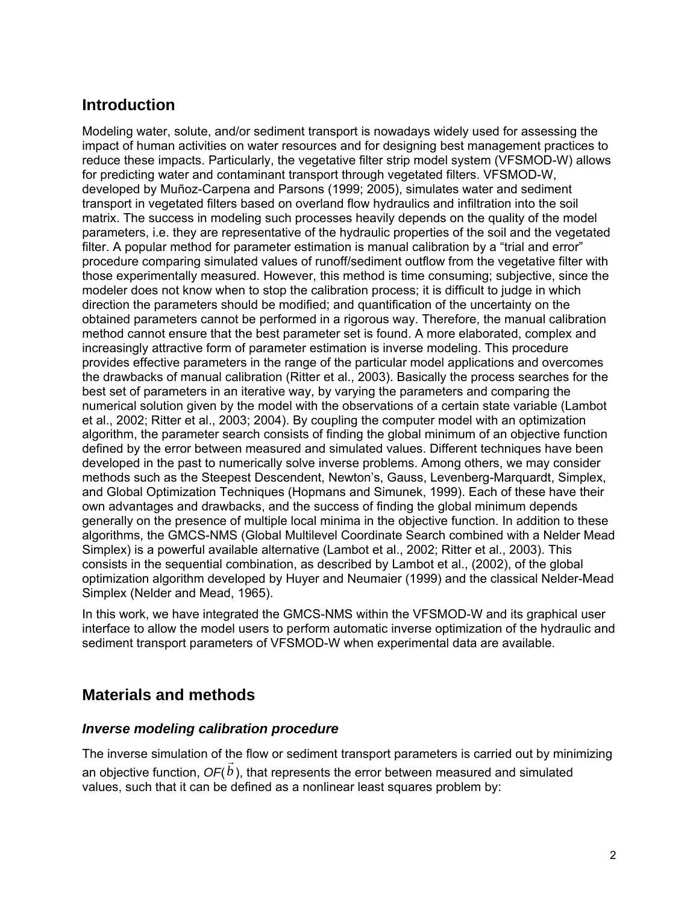# **Introduction**

Modeling water, solute, and/or sediment transport is nowadays widely used for assessing the impact of human activities on water resources and for designing best management practices to reduce these impacts. Particularly, the vegetative filter strip model system (VFSMOD-W) allows for predicting water and contaminant transport through vegetated filters. VFSMOD-W, developed by Muñoz-Carpena and Parsons (1999; 2005), simulates water and sediment transport in vegetated filters based on overland flow hydraulics and infiltration into the soil matrix. The success in modeling such processes heavily depends on the quality of the model parameters, i.e. they are representative of the hydraulic properties of the soil and the vegetated filter. A popular method for parameter estimation is manual calibration by a "trial and error" procedure comparing simulated values of runoff/sediment outflow from the vegetative filter with those experimentally measured. However, this method is time consuming; subjective, since the modeler does not know when to stop the calibration process; it is difficult to judge in which direction the parameters should be modified; and quantification of the uncertainty on the obtained parameters cannot be performed in a rigorous way. Therefore, the manual calibration method cannot ensure that the best parameter set is found. A more elaborated, complex and increasingly attractive form of parameter estimation is inverse modeling. This procedure provides effective parameters in the range of the particular model applications and overcomes the drawbacks of manual calibration (Ritter et al., 2003). Basically the process searches for the best set of parameters in an iterative way, by varying the parameters and comparing the numerical solution given by the model with the observations of a certain state variable (Lambot et al., 2002; Ritter et al., 2003; 2004). By coupling the computer model with an optimization algorithm, the parameter search consists of finding the global minimum of an objective function defined by the error between measured and simulated values. Different techniques have been developed in the past to numerically solve inverse problems. Among others, we may consider methods such as the Steepest Descendent, Newton's, Gauss, Levenberg-Marquardt, Simplex, and Global Optimization Techniques (Hopmans and Simunek, 1999). Each of these have their own advantages and drawbacks, and the success of finding the global minimum depends generally on the presence of multiple local minima in the objective function. In addition to these algorithms, the GMCS-NMS (Global Multilevel Coordinate Search combined with a Nelder Mead Simplex) is a powerful available alternative (Lambot et al., 2002; Ritter et al., 2003). This consists in the sequential combination, as described by Lambot et al., (2002), of the global optimization algorithm developed by Huyer and Neumaier (1999) and the classical Nelder-Mead Simplex (Nelder and Mead, 1965).

In this work, we have integrated the GMCS-NMS within the VFSMOD-W and its graphical user interface to allow the model users to perform automatic inverse optimization of the hydraulic and sediment transport parameters of VFSMOD-W when experimental data are available.

### **Materials and methods**

#### *Inverse modeling calibration procedure*

The inverse simulation of the flow or sediment transport parameters is carried out by minimizing an objective function, *OF*(  $\frac{1}{2}$ *b* ), that represents the error between measured and simulated values, such that it can be defined as a nonlinear least squares problem by: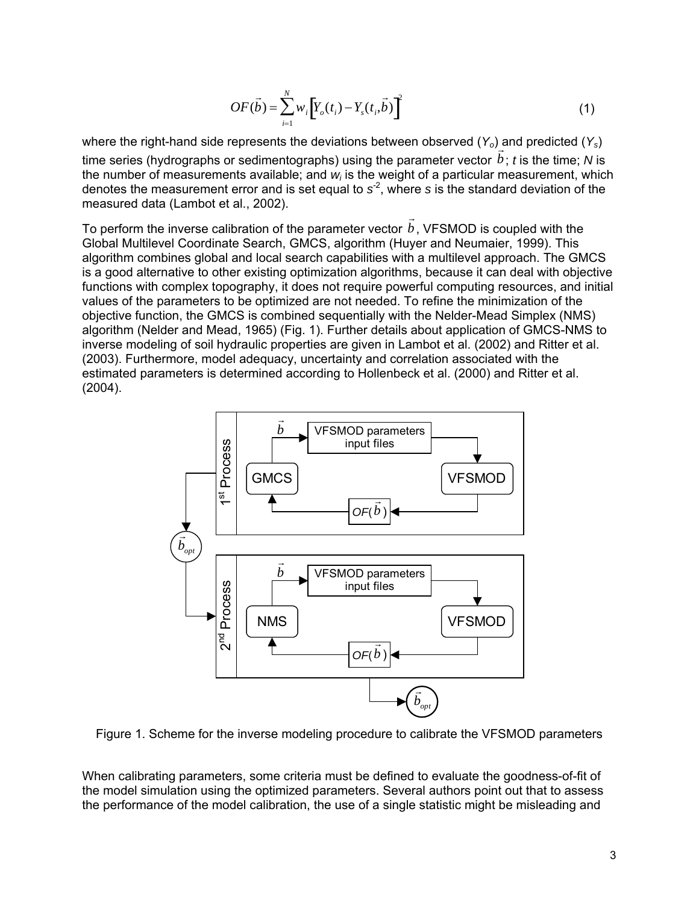$$
OF(\vec{b}) = \sum_{i=1}^{N} w_i \left[ Y_o(t_i) - Y_s(t_i, \vec{b}) \right]^2
$$
\n(1)

where the right-hand side represents the deviations between observed (*Y<sub>o</sub>*) and predicted (*Y<sub>s</sub>*) time series (hydrographs or sedimentographs) using the parameter vector *b* ; *t* is the time; *N* is the number of measurements available; and  $w<sub>i</sub>$  is the weight of a particular measurement, which denotes the measurement error and is set equal to  $s^2$ , where *s* is the standard deviation of the measured data (Lambot et al., 2002).

To perform the inverse calibration of the parameter vector  $\overline{a}$ *b* , VFSMOD is coupled with the Global Multilevel Coordinate Search, GMCS, algorithm (Huyer and Neumaier, 1999). This algorithm combines global and local search capabilities with a multilevel approach. The GMCS is a good alternative to other existing optimization algorithms, because it can deal with objective functions with complex topography, it does not require powerful computing resources, and initial values of the parameters to be optimized are not needed. To refine the minimization of the objective function, the GMCS is combined sequentially with the Nelder-Mead Simplex (NMS) algorithm (Nelder and Mead, 1965) (Fig. 1). Further details about application of GMCS-NMS to inverse modeling of soil hydraulic properties are given in Lambot et al. (2002) and Ritter et al. (2003). Furthermore, model adequacy, uncertainty and correlation associated with the estimated parameters is determined according to Hollenbeck et al. (2000) and Ritter et al. (2004).



Figure 1. Scheme for the inverse modeling procedure to calibrate the VFSMOD parameters

When calibrating parameters, some criteria must be defined to evaluate the goodness-of-fit of the model simulation using the optimized parameters. Several authors point out that to assess the performance of the model calibration, the use of a single statistic might be misleading and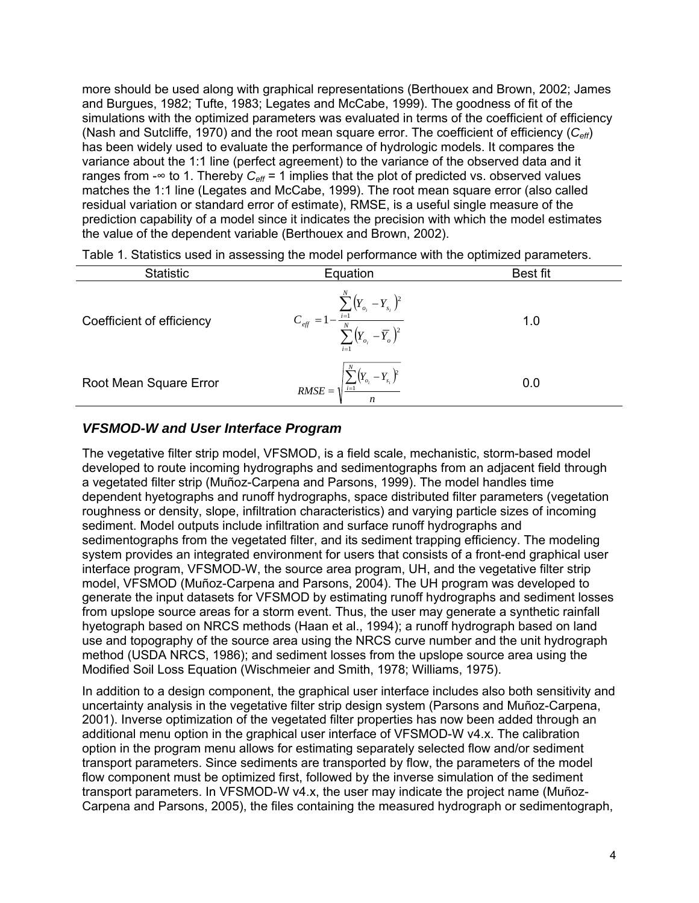more should be used along with graphical representations (Berthouex and Brown, 2002; James and Burgues, 1982; Tufte, 1983; Legates and McCabe, 1999). The goodness of fit of the simulations with the optimized parameters was evaluated in terms of the coefficient of efficiency (Nash and Sutcliffe, 1970) and the root mean square error. The coefficient of efficiency (*Ceff*) has been widely used to evaluate the performance of hydrologic models. It compares the variance about the 1:1 line (perfect agreement) to the variance of the observed data and it ranges from - $\infty$  to 1. Thereby  $C_{\text{eff}}$  = 1 implies that the plot of predicted vs. observed values matches the 1:1 line (Legates and McCabe, 1999). The root mean square error (also called residual variation or standard error of estimate), RMSE, is a useful single measure of the prediction capability of a model since it indicates the precision with which the model estimates the value of the dependent variable (Berthouex and Brown, 2002).

| <b>Statistic</b>          | Equation                                                                                                          | Best fit |
|---------------------------|-------------------------------------------------------------------------------------------------------------------|----------|
| Coefficient of efficiency | $C_{\text{eff}} = 1 - \frac{\sum_{i=1}^{N} (Y_{o_i} - Y_{s_i})^2}{\sum_{i=1}^{N} (Y_{o_i} - \overline{Y}_{o})^2}$ | 1.0      |
| Root Mean Square Error    | $RMSE = \sqrt{\sum_{i=1}^{N} (Y_{o_i} - Y_{s_i})^2}$<br>$\overline{n}$                                            | 0.0      |

Table 1. Statistics used in assessing the model performance with the optimized parameters.

#### *VFSMOD-W and User Interface Program*

The vegetative filter strip model, VFSMOD, is a field scale, mechanistic, storm-based model developed to route incoming hydrographs and sedimentographs from an adjacent field through a vegetated filter strip (Muñoz-Carpena and Parsons, 1999). The model handles time dependent hyetographs and runoff hydrographs, space distributed filter parameters (vegetation roughness or density, slope, infiltration characteristics) and varying particle sizes of incoming sediment. Model outputs include infiltration and surface runoff hydrographs and sedimentographs from the vegetated filter, and its sediment trapping efficiency. The modeling system provides an integrated environment for users that consists of a front-end graphical user interface program, VFSMOD-W, the source area program, UH, and the vegetative filter strip model, VFSMOD (Muñoz-Carpena and Parsons, 2004). The UH program was developed to generate the input datasets for VFSMOD by estimating runoff hydrographs and sediment losses from upslope source areas for a storm event. Thus, the user may generate a synthetic rainfall hyetograph based on NRCS methods (Haan et al., 1994); a runoff hydrograph based on land use and topography of the source area using the NRCS curve number and the unit hydrograph method (USDA NRCS, 1986); and sediment losses from the upslope source area using the Modified Soil Loss Equation (Wischmeier and Smith, 1978; Williams, 1975).

In addition to a design component, the graphical user interface includes also both sensitivity and uncertainty analysis in the vegetative filter strip design system (Parsons and Muñoz-Carpena, 2001). Inverse optimization of the vegetated filter properties has now been added through an additional menu option in the graphical user interface of VFSMOD-W v4.x. The calibration option in the program menu allows for estimating separately selected flow and/or sediment transport parameters. Since sediments are transported by flow, the parameters of the model flow component must be optimized first, followed by the inverse simulation of the sediment transport parameters. In VFSMOD-W v4.x, the user may indicate the project name (Muñoz-Carpena and Parsons, 2005), the files containing the measured hydrograph or sedimentograph,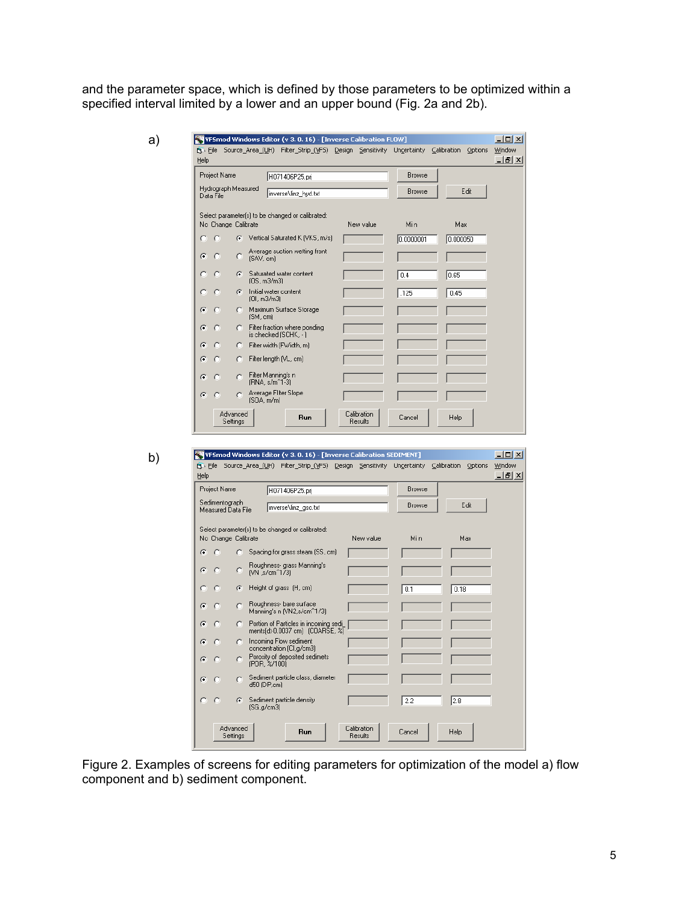and the parameter space, which is defined by those parameters to be optimized within a specified interval limited by a lower and an upper bound (Fig. 2a and 2b).

| Help                                      | File Source_Area_(UH) Filter_Strip_(VFS) Design Sensitivity Uncertainty Calibration Options |                |               |          |
|-------------------------------------------|---------------------------------------------------------------------------------------------|----------------|---------------|----------|
| Project Name                              | H071406P25.prj                                                                              |                | <b>Browse</b> |          |
| Hydrograph Measured<br>Data File          | inverse\linz_hyd.txt                                                                        |                | Browse        | Edit     |
|                                           | Select parameter(s) to be changed or calibrated:                                            |                |               |          |
| No Change Calibrate                       |                                                                                             | New value      | Min           | Max      |
| C                                         | (C) Vertical Saturated K (VKS, m/s)                                                         |                | 0.0000001     | 0.000050 |
| O<br>G<br>с                               | Average suction wetting front<br>(SAV, cm)                                                  |                |               |          |
| O<br>G.                                   | Saturated water content<br>[0S, m3/m3]                                                      |                | 0.4           | 0.65     |
| $\epsilon$<br>C                           | Initial water content<br>[01, m3/m3]                                                        |                | .125          | 0.45     |
| G<br>C<br>o                               | Maximum Surface Storage<br>(SM, cm)                                                         |                |               |          |
| O.<br>С<br>с                              | Filter fraction where ponding                                                               |                |               |          |
| G<br>C<br>o                               | is checked (SCHK, - )<br>Filter width (FWidth, m)                                           |                |               |          |
| O<br>G<br>o                               | Filter length (VL, cm)                                                                      |                |               |          |
| C.<br>G<br>C                              | Filter Manning's n<br>(RNA, s/m^1-3)                                                        |                |               |          |
| Œ<br>C                                    | Average Filter Slope                                                                        |                |               |          |
| Advanced                                  | [SOA, m/m]                                                                                  | Calibration    |               |          |
| Settings                                  | Run                                                                                         | <b>Results</b> | Cancel        | Help     |
|                                           | VFSmod Windows Editor (v 3. 0. 16) - [Inverse Calibration SEDIMENT]                         |                |               |          |
| Help<br>Project Name                      | 8 Eile Source_Area_(UH) Filter_Strip_(VFS) Design Sensitivity Uncertainty Calibration       |                | <b>Browse</b> | Options  |
| Sedimentograph                            | H071406P25.prj<br>inverse\linz_gso.txt                                                      |                | <b>Browse</b> | Edit     |
| Measured Data File<br>No Change Calibrate | Select parameter(s) to be changed or calibrated:                                            | New value      | Min           | Max      |
| С<br>с<br>О.                              | Spacing for grass steam (SS, cm)                                                            |                |               |          |
| G<br>O<br>Ю                               | Roughness-grass Manning's<br>(1/3) s/cm^1,                                                  |                |               |          |
| n<br>G.                                   | Height of grass (H, cm)                                                                     |                | 0.1           | 0.18     |
| C.<br>c<br>C                              | Roughness-bare surface<br>Manning's n (VN2,s/cm^1/3)                                        |                |               |          |
| c<br>C                                    | Portion of Particles in incoming sedi_<br>ments(d>0.0037 cm) (COARSE, %)                    |                |               |          |
| G<br>C<br>с                               | Incoming Flow sediment                                                                      |                |               |          |
| G                                         | concentration (Cl,g/cm3)<br>Porosity of deposited sedimets<br>(POR, %/100)                  |                |               |          |
| G<br>c<br>c                               | Sediment particle class, diameter<br>d50 (DP.cm)                                            |                |               |          |

Figure 2. Examples of screens for editing parameters for optimization of the model a) flow component and b) sediment component.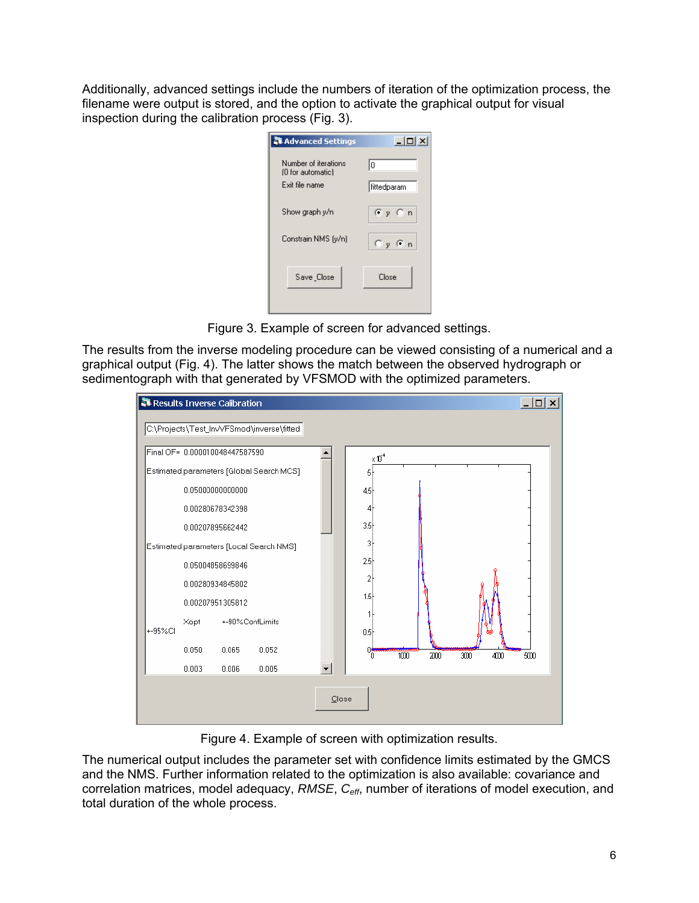Additionally, advanced settings include the numbers of iteration of the optimization process, the filename were output is stored, and the option to activate the graphical output for visual inspection during the calibration process (Fig. 3).

| Advanced Settings                         | $-$ Inl $x$  |
|-------------------------------------------|--------------|
| Number of iterations<br>(0 for automatic) | I٥           |
| Exit file name                            | fittedparam  |
| Show graph y/n                            | $G \vee G$ n |
| Constrain NMS (y/n)                       | ©y ⊛n        |
| Save Close                                | Close        |

Figure 3. Example of screen for advanced settings.

The results from the inverse modeling procedure can be viewed consisting of a numerical and a graphical output (Fig. 4). The latter shows the match between the observed hydrograph or sedimentograph with that generated by VFSMOD with the optimized parameters.

| Results Inverse Calibration |       |                                |                                           |       |                  |             |            | $ \Box$ $\times$ |
|-----------------------------|-------|--------------------------------|-------------------------------------------|-------|------------------|-------------|------------|------------------|
|                             |       |                                | C:\Projects\Test_InvVFSmod\inverse\fitted |       |                  |             |            |                  |
|                             |       | Final OF= 0.000010048447587590 |                                           |       | $\times 10^+$    |             |            |                  |
|                             |       |                                | Estimated parameters [Global Search MCS]  |       | 5                |             |            |                  |
|                             |       | 0.05000000000000               |                                           |       | 45               |             |            |                  |
|                             |       | 0.00280678342398               |                                           |       | 4                |             |            |                  |
|                             |       | 0.00207895662442               |                                           |       | 3.5              |             |            |                  |
|                             |       |                                | Estimated parameters [Local Search NMS]   |       | 3                |             |            |                  |
|                             |       | 0.05004858699846               |                                           |       | 2.5              |             |            |                  |
|                             |       | 0.00280934845802               |                                           |       | 2                |             |            |                  |
|                             |       | 0.00207951305812               |                                           |       | 1.5              |             |            |                  |
|                             | Xopt  |                                | +-90%ConfLimits                           |       |                  |             |            |                  |
| l+-95%Cl                    |       |                                |                                           |       | 0.5 <sub>1</sub> |             |            |                  |
|                             | 0.050 | 0.065                          | 0.052                                     |       | N٩<br>n          | 200<br>1000 | 300<br>400 | 5000             |
|                             | 0.003 | 0.006                          | 0.005                                     |       |                  |             |            |                  |
|                             |       |                                |                                           |       |                  |             |            |                  |
|                             |       |                                |                                           | Close |                  |             |            |                  |
|                             |       |                                |                                           |       |                  |             |            |                  |

Figure 4. Example of screen with optimization results.

The numerical output includes the parameter set with confidence limits estimated by the GMCS and the NMS. Further information related to the optimization is also available: covariance and correlation matrices, model adequacy, *RMSE*, *Ceff*, number of iterations of model execution, and total duration of the whole process.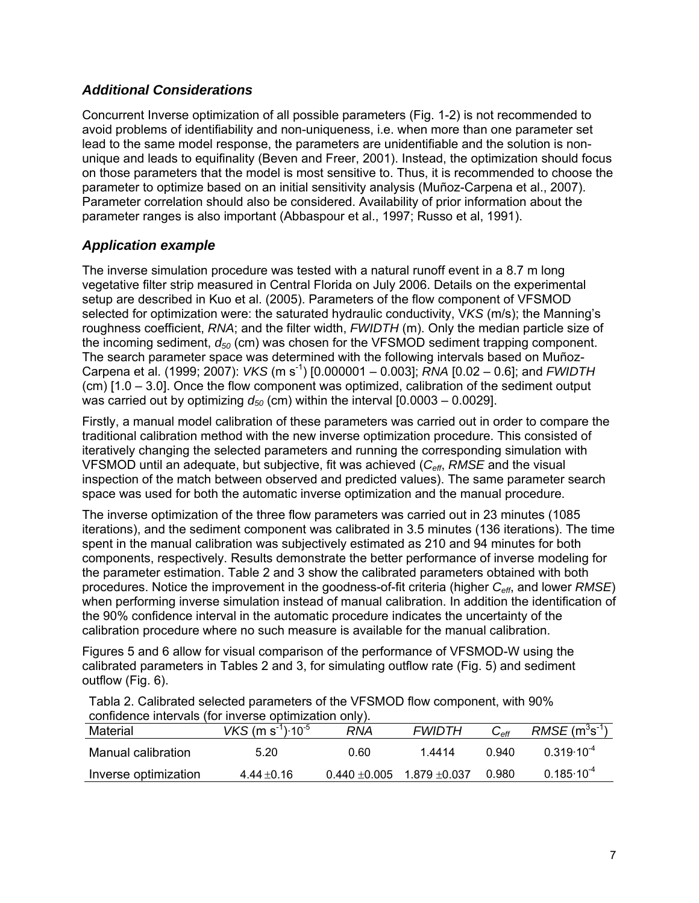#### *Additional Considerations*

Concurrent Inverse optimization of all possible parameters (Fig. 1-2) is not recommended to avoid problems of identifiability and non-uniqueness, i.e. when more than one parameter set lead to the same model response, the parameters are unidentifiable and the solution is nonunique and leads to equifinality (Beven and Freer, 2001). Instead, the optimization should focus on those parameters that the model is most sensitive to. Thus, it is recommended to choose the parameter to optimize based on an initial sensitivity analysis (Muñoz-Carpena et al., 2007). Parameter correlation should also be considered. Availability of prior information about the parameter ranges is also important (Abbaspour et al., 1997; Russo et al, 1991).

#### *Application example*

The inverse simulation procedure was tested with a natural runoff event in a 8.7 m long vegetative filter strip measured in Central Florida on July 2006. Details on the experimental setup are described in Kuo et al. (2005). Parameters of the flow component of VFSMOD selected for optimization were: the saturated hydraulic conductivity, V*KS* (m/s); the Manning's roughness coefficient, *RNA*; and the filter width, *FWIDTH* (m). Only the median particle size of the incoming sediment, *d50* (cm) was chosen for the VFSMOD sediment trapping component. The search parameter space was determined with the following intervals based on Muñoz-Carpena et al. (1999; 2007): *VKS* (m s-1) [0.000001 – 0.003]; *RNA* [0.02 – 0.6]; and *FWIDTH* (cm) [1.0 – 3.0]. Once the flow component was optimized, calibration of the sediment output was carried out by optimizing  $d_{50}$  (cm) within the interval  $[0.0003 - 0.0029]$ .

Firstly, a manual model calibration of these parameters was carried out in order to compare the traditional calibration method with the new inverse optimization procedure. This consisted of iteratively changing the selected parameters and running the corresponding simulation with VFSMOD until an adequate, but subjective, fit was achieved (*Ceff*, *RMSE* and the visual inspection of the match between observed and predicted values). The same parameter search space was used for both the automatic inverse optimization and the manual procedure.

The inverse optimization of the three flow parameters was carried out in 23 minutes (1085 iterations), and the sediment component was calibrated in 3.5 minutes (136 iterations). The time spent in the manual calibration was subjectively estimated as 210 and 94 minutes for both components, respectively. Results demonstrate the better performance of inverse modeling for the parameter estimation. Table 2 and 3 show the calibrated parameters obtained with both procedures. Notice the improvement in the goodness-of-fit criteria (higher *Ceff*, and lower *RMSE*) when performing inverse simulation instead of manual calibration. In addition the identification of the 90% confidence interval in the automatic procedure indicates the uncertainty of the calibration procedure where no such measure is available for the manual calibration.

Figures 5 and 6 allow for visual comparison of the performance of VFSMOD-W using the calibrated parameters in Tables 2 and 3, for simulating outflow rate (Fig. 5) and sediment outflow (Fig. 6).

| confidence intervals (for inverse optimization only). |                                             |                               |               |                  |                                          |
|-------------------------------------------------------|---------------------------------------------|-------------------------------|---------------|------------------|------------------------------------------|
| Material                                              | $VKS$ (m s <sup>-1</sup> ) 10 <sup>-5</sup> | RNA                           | <b>FWIDTH</b> | $C_{\text{eff}}$ | $RMSE$ (m <sup>3</sup> s <sup>-1</sup> ) |
| Manual calibration                                    | 5.20                                        | 0.60                          | 1 44 14       | <u>በ 940</u>     | $0.319 \cdot 10^{-4}$                    |
| Inverse optimization                                  | $4.44 \pm 0.16$                             | $0.440 + 0.005$ 1.879 + 0.037 |               | 0.980            | $0.185 \cdot 10^{-4}$                    |

Tabla 2. Calibrated selected parameters of the VFSMOD flow component, with 90% confidence intervals (for inverse optimization only).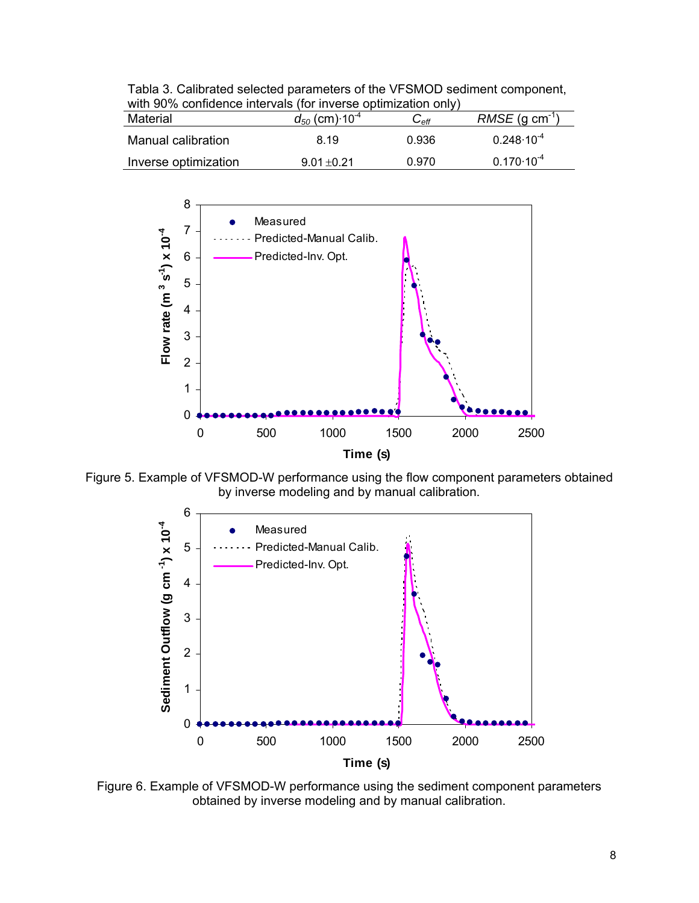Tabla 3. Calibrated selected parameters of the VFSMOD sediment component, with 90% confidence intervals (for inverse optimization only)

| Material             | $d_{50}$ (cm) $\cdot$ 10 <sup>-4</sup> | $\bm{\cup}_{\bm{\mathsf{eff}}}$ | $RMSE$ (g cm <sup>-1)</sup> |
|----------------------|----------------------------------------|---------------------------------|-----------------------------|
| Manual calibration   | 8.19                                   | 0.936                           | $0.248 \cdot 10^{-4}$       |
| Inverse optimization | $9.01 + 0.21$                          | 0.970                           | $0.170 \cdot 10^{-4}$       |



Figure 5. Example of VFSMOD-W performance using the flow component parameters obtained by inverse modeling and by manual calibration.



Figure 6. Example of VFSMOD-W performance using the sediment component parameters obtained by inverse modeling and by manual calibration.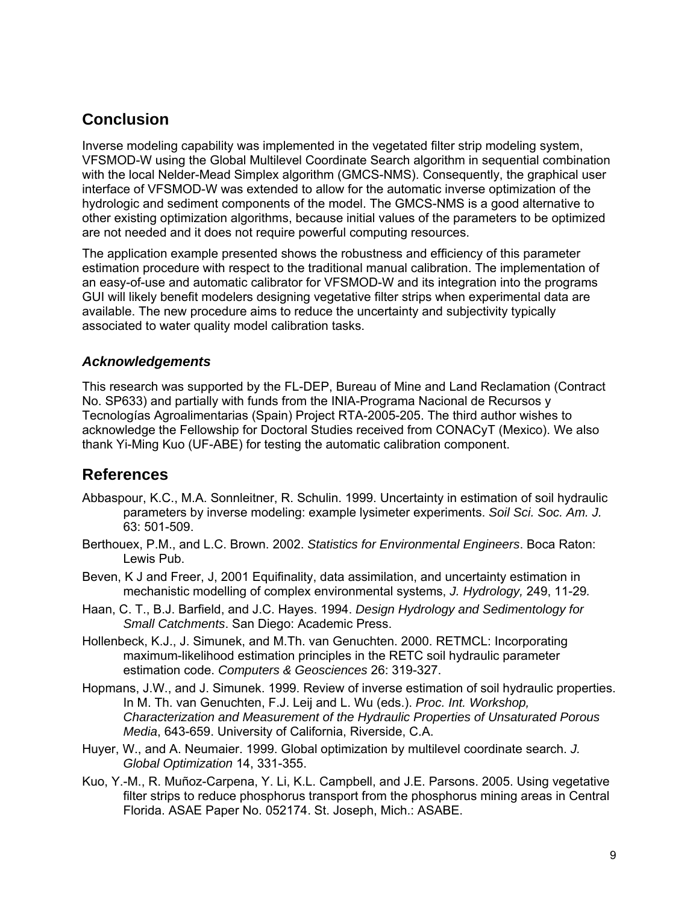# **Conclusion**

Inverse modeling capability was implemented in the vegetated filter strip modeling system, VFSMOD-W using the Global Multilevel Coordinate Search algorithm in sequential combination with the local Nelder-Mead Simplex algorithm (GMCS-NMS). Consequently, the graphical user interface of VFSMOD-W was extended to allow for the automatic inverse optimization of the hydrologic and sediment components of the model. The GMCS-NMS is a good alternative to other existing optimization algorithms, because initial values of the parameters to be optimized are not needed and it does not require powerful computing resources.

The application example presented shows the robustness and efficiency of this parameter estimation procedure with respect to the traditional manual calibration. The implementation of an easy-of-use and automatic calibrator for VFSMOD-W and its integration into the programs GUI will likely benefit modelers designing vegetative filter strips when experimental data are available. The new procedure aims to reduce the uncertainty and subjectivity typically associated to water quality model calibration tasks.

#### *Acknowledgements*

This research was supported by the FL-DEP, Bureau of Mine and Land Reclamation (Contract No. SP633) and partially with funds from the INIA-Programa Nacional de Recursos y Tecnologías Agroalimentarias (Spain) Project RTA-2005-205. The third author wishes to acknowledge the Fellowship for Doctoral Studies received from CONACyT (Mexico). We also thank Yi-Ming Kuo (UF-ABE) for testing the automatic calibration component.

### **References**

- Abbaspour, K.C., M.A. Sonnleitner, R. Schulin. 1999. Uncertainty in estimation of soil hydraulic parameters by inverse modeling: example lysimeter experiments. *Soil Sci. Soc. Am. J.*  63: 501-509.
- Berthouex, P.M., and L.C. Brown. 2002. *Statistics for Environmental Engineers*. Boca Raton: Lewis Pub.
- Beven, K J and Freer, J, 2001 Equifinality, data assimilation, and uncertainty estimation in mechanistic modelling of complex environmental systems, *J. Hydrology,* 249, 11-29*.*
- Haan, C. T., B.J. Barfield, and J.C. Hayes. 1994. *Design Hydrology and Sedimentology for Small Catchments*. San Diego: Academic Press.
- Hollenbeck, K.J., J. Simunek, and M.Th. van Genuchten. 2000. RETMCL: Incorporating maximum-likelihood estimation principles in the RETC soil hydraulic parameter estimation code. *Computers & Geosciences* 26: 319-327.
- Hopmans, J.W., and J. Simunek. 1999. Review of inverse estimation of soil hydraulic properties. In M. Th. van Genuchten, F.J. Leij and L. Wu (eds.). *Proc. Int. Workshop, Characterization and Measurement of the Hydraulic Properties of Unsaturated Porous Media*, 643-659. University of California, Riverside, C.A.
- Huyer, W., and A. Neumaier. 1999. Global optimization by multilevel coordinate search. *J. Global Optimization* 14, 331-355.
- Kuo, Y.-M., R. Muñoz-Carpena, Y. Li, K.L. Campbell, and J.E. Parsons. 2005. Using vegetative filter strips to reduce phosphorus transport from the phosphorus mining areas in Central Florida. ASAE Paper No. 052174. St. Joseph, Mich.: ASABE.